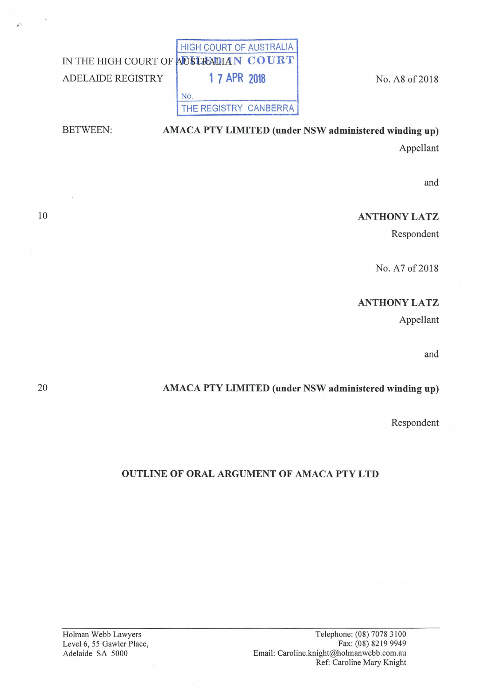|                                       | HIGH COURT OF AUSTRALIA |  |
|---------------------------------------|-------------------------|--|
| IN THE HIGH COURT OF AUSTRADIAN COURT |                         |  |
| ADELAIDE REGISTRY                     | <b>1 7 APR 2018</b>     |  |
|                                       | NO                      |  |
|                                       | THE REGISTRY CANBERRA   |  |
|                                       |                         |  |

No. A8 of 2018

and

Appellant

## ANTHONY LATZ

Respondent

No. A7 of 2018

# ANTHONYLATZ

Appellant

and

### AMACA PTY LIMITED (under NSW administered winding up)

AMACA PTY LIMITED (under NSW administered winding up)

Respondent

#### OUTLINE OF ORAL ARGUMENT OF AMACA PTY LTD

Telephone: (08) 7078 3100 Fax: (08) 8219 9949 Email: Caroline.knight@holmanwebb.com.au Ref: Caroline Mary Knight

Holman Webb Lawyers Level 6, 55 Gawler Place, Adelaide SA 5000

20

10

BETWEEN: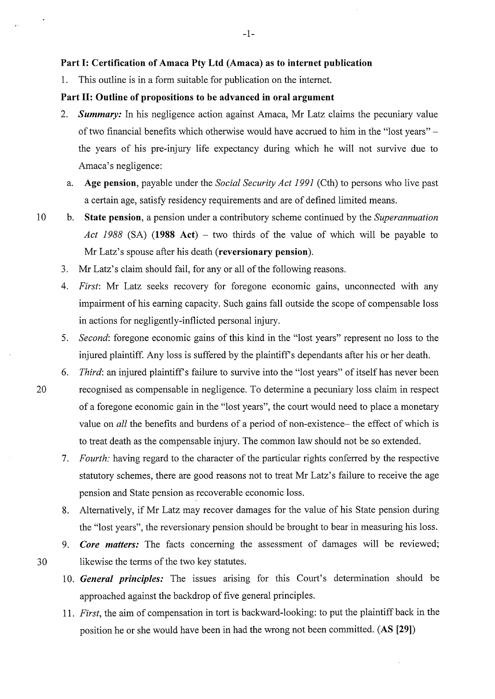#### **Part 1: Certification of Amaca Pty Ltd (Amaca) as to internet publication**

1. This outline is in a form suitable for publication on the internet.

#### **Part 11: Outline of propositions to be advanced in oral argument**

- 2. *Summary:* In his negligence action against Amaca, Mr Latz claims the pecuniary value of two financial benefits which otherwise would have accrued to him in the "lost years" the years of his pre-injury life expectancy during which he will not survive due to Amaca's negligence:
	- a. **Age pension,** payable under the *Social Security Act 1991* (Cth) to persons who live past a certain age, satisfy residency requirements and are of defined limited means.
- 10 b. **State pension,** a pension under a contributory scheme continued by the *Superannuation Act 1988* (SA) **(1988 Act)** - two thirds of the value of which will be payable to Mr Latz's spouse after his death **(reversionary pension).** 
	- 3. Mr Latz's claim should fail, for any or all of the following reasons.
	- 4. *First:* Mr Latz seeks recovery for foregone economic gains, unconnected with any impairment of his earning capacity. Such gains fall outside the scope of compensable loss in actions for negligently-inflicted personal injury.
	- 5. *Second:* foregone economic gains of this kind in the "lost years" represent no loss to the injured plaintiff. Any loss is suffered by the plaintiff's dependants after his or her death.
- 6. *Third:* an injured plaintiffs failure to survive into the "lost years" of itself has never been 20 recognised as compensable in negligence. To determine a pecuniary loss claim in respect of a foregone economic gain in the "lost years", the court would need to place a monetary value on *all* the benefits and burdens of a period of non-existence- the effect of which is to treat death as the compensable injury. The common law should not be so extended.
	- 7. *Fourth:* having regard to the character of the particular rights conferred by the respective statutory schemes, there are good reasons not to treat Mr Latz's failure to receive the age pension and State pension as recoverable economic loss.
	- 8. Alternatively, if Mr Latz may recover damages for the value of his State pension during the "lost years", the reversionary pension should be brought to bear in measuring his loss.
- 9. *Core matters:* The facts concerning the assessment of damages will be reviewed; 30 likewise the terms of the two key statutes.
	- 10. *General principles:* The issues arising for this Court's determination should be approached against the backdrop of five general principles.
	- 11. *First,* the aim of compensation in tort is backward-looking: to put the plaintiff back in the position he or she would have been in had the wrong not been committed. **(AS [29])**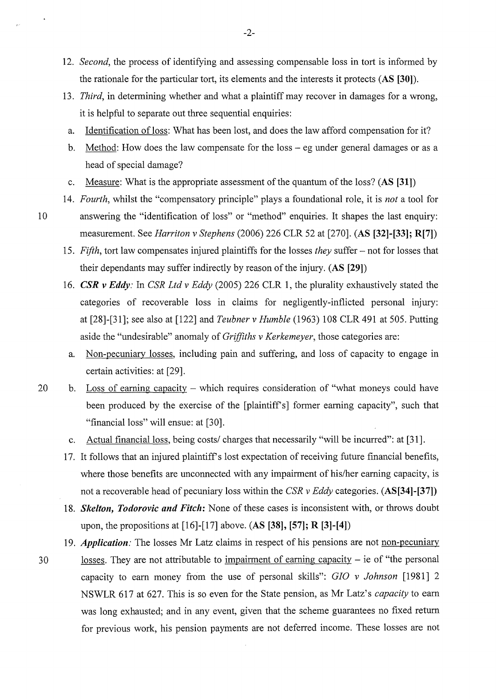- 12. *Second,* the process of identifying and assessing compensable loss in tort is informed by the rationale for the particular tort, its elements and the interests it protects **(AS [30]).**
- 13. *Third,* in determining whether and what a plaintiff may recover in damages for a wrong, it is helpful to separate out three sequential enquiries:
	- a. Identification of loss: What has been lost, and does the law afford compensation for it?
	- b. Method: How does the law compensate for the loss- eg under general damages or as a head of special damage?
	- c. Measure: What is the appropriate assessment of the quantum of the loss? **(AS [31])**
- 14. *Fourth,* whilst the "compensatory principle" plays a foundational role, it is *not* a tool for
- 10 answering the "identification of loss" or "method" enquiries. It shapes the last enquiry: measurement. See *Harriton v Stephens* (2006) 226 CLR 52 at [270]. **(AS [32]-[33]; R[7])** 
	- 15. *Fifth,* tort law compensates injured plaintiffs for the losses *they* suffer- not for losses that their dependants may suffer indirectly by reason of the injury. (AS [29])
	- 16. *CSR v Eddy:* In *CSR Ltd v Eddy* (2005) 226 CLR 1, the plurality exhaustively stated the categories of recoverable loss in claims for negligently-inflicted personal injury: at [28]-[31]; see also at [122] and *Teubner v Humble* (1963) 108 CLR 491 at 505. Putting aside the "undesirable" anomaly of *Grifjiths v Kerkemeyer,* those categories are:
		- a. Non-pecuniary losses, including pain and suffering, and loss of capacity to engage in certain activities: at [29].
- 20 b. Loss of earning capacity which requires consideration of "what moneys could have been produced by the exercise of the [plaintiff's] former earning capacity", such that "financial loss" will ensue: at [30].
	- c. Actual financial loss, being costs/ charges that necessarily "will be incurred": at [31].

17. It follows that an injured plaintiff's lost expectation of receiving future financial benefits, where those benefits are unconnected with any impairment of his/her earning capacity, is not a recoverable head of pecuniary loss within the *CSR v Eddy* categories. **(AS[34]-[37])** 

18. *Skelton, Todorovic and Fitclt:* None of these cases is inconsistent with, or throws doubt upon, the propositions at [16]-[17] above. (AS **[38], [57]; R [3]-[4])** 

19. *Application:* The losses Mr Latz claims in respect of his pensions are not non-pecuniary 30 losses. They are not attributable to impairment of earning capacity - ie of "the personal capacity to earn money from the use of personal skills": G/0 *v Johnson* [1981] 2 NSWLR 617 at 627. This is so even for the State pension, as Mr Latz's *capacity* to earn was long exhausted; and in any event, given that the scheme guarantees no fixed return for previous work, his pension payments are not deferred income. These losses are not

-2-